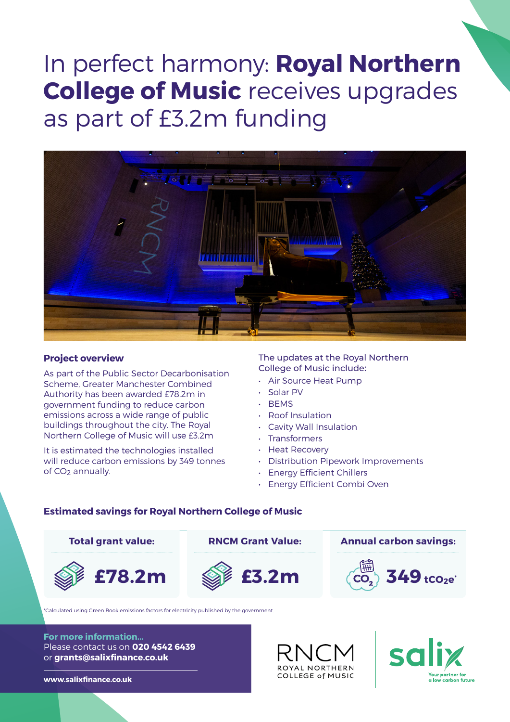# In perfect harmony: **Royal Northern College of Music** receives upgrades as part of £3.2m funding



#### **Project overview**

As part of the Public Sector Decarbonisation Scheme, Greater Manchester Combined Authority has been awarded £78.2m in government funding to reduce carbon emissions across a wide range of public buildings throughout the city. The Royal Northern College of Music will use £3.2m

It is estimated the technologies installed will reduce carbon emissions by 349 tonnes of CO2 annually.

The updates at the Royal Northern College of Music include:

- Air Source Heat Pump
- Solar PV
- BEMS
- Roof Insulation
- Cavity Wall Insulation
- **Transformers**
- Heat Recovery
- Distribution Pipework Improvements
- Energy Efficient Chillers
- Energy Efficient Combi Oven

### **Estimated savings for Royal Northern College of Music**



\*Calculated using Green Book emissions factors for electricity published by the government.

**For more information...** Please contact us on **020 4542 6439** or **grants@salixfinance.co.uk**

**www.salixfinance.co.uk**

# ROYAL NORTHERN COLLEGE of MUSIC